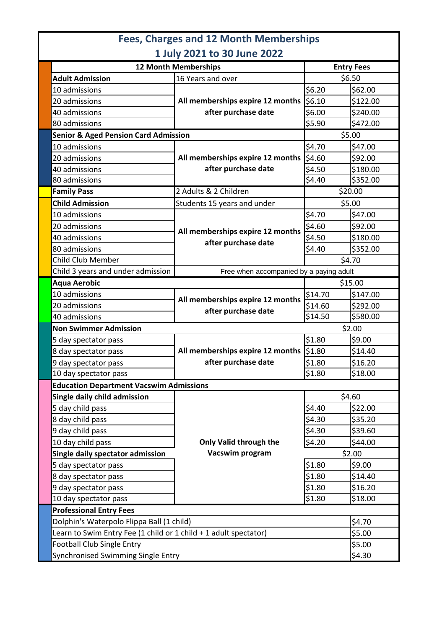|                                                 | <b>Fees, Charges and 12 Month Memberships</b>           |                   |          |
|-------------------------------------------------|---------------------------------------------------------|-------------------|----------|
|                                                 | 1 July 2021 to 30 June 2022                             |                   |          |
| <b>12 Month Memberships</b>                     |                                                         | <b>Entry Fees</b> |          |
| <b>Adult Admission</b>                          | 16 Years and over                                       | \$6.50            |          |
| 10 admissions                                   |                                                         | \$6.20            | \$62.00  |
| 20 admissions                                   | All memberships expire 12 months<br>after purchase date | \$6.10            | \$122.00 |
| 40 admissions                                   |                                                         | \$6.00            | \$240.00 |
| 80 admissions                                   |                                                         | \$5.90            | \$472.00 |
| <b>Senior &amp; Aged Pension Card Admission</b> |                                                         | \$5.00            |          |
| 10 admissions                                   | All memberships expire 12 months<br>after purchase date | \$4.70            | \$47.00  |
| 20 admissions                                   |                                                         | \$4.60            | \$92.00  |
| 40 admissions                                   |                                                         | \$4.50            | \$180.00 |
| 80 admissions                                   |                                                         | \$4.40            | \$352.00 |
| <b>Family Pass</b>                              | 2 Adults & 2 Children                                   | \$20.00           |          |
| <b>Child Admission</b>                          | Students 15 years and under                             | \$5.00            |          |
| 10 admissions                                   | All memberships expire 12 months<br>after purchase date | \$4.70            | \$47.00  |
| 20 admissions                                   |                                                         | \$4.60            | \$92.00  |
| 40 admissions                                   |                                                         | \$4.50            | \$180.00 |
| 80 admissions                                   |                                                         | \$4.40            | \$352.00 |
| <b>Child Club Member</b>                        |                                                         | \$4.70            |          |
| Child 3 years and under admission               | Free when accompanied by a paying adult                 |                   |          |
| <b>Aqua Aerobic</b>                             |                                                         |                   | \$15.00  |
| 10 admissions                                   |                                                         | \$14.70           | \$147.00 |
| 20 admissions                                   | All memberships expire 12 months<br>after purchase date | \$14.60           | \$292.00 |
| 40 admissions                                   |                                                         | \$14.50           | \$580.00 |
| <b>Non Swimmer Admission</b>                    |                                                         |                   | \$2.00   |

|  |                                                                  | after purchase date              | Y±¬.vv  | ンムンム・VV  |  |  |
|--|------------------------------------------------------------------|----------------------------------|---------|----------|--|--|
|  | 40 admissions                                                    |                                  | \$14.50 | \$580.00 |  |  |
|  | \$2.00<br><b>Non Swimmer Admission</b>                           |                                  |         |          |  |  |
|  | 5 day spectator pass                                             |                                  | \$1.80  | \$9.00   |  |  |
|  | 8 day spectator pass                                             | All memberships expire 12 months | \$1.80  | \$14.40  |  |  |
|  | 9 day spectator pass                                             | after purchase date              | \$1.80  | \$16.20  |  |  |
|  | 10 day spectator pass                                            |                                  | \$1.80  | \$18.00  |  |  |
|  | <b>Education Department Vacswim Admissions</b>                   |                                  |         |          |  |  |
|  | Single daily child admission                                     | Only Valid through the           | \$4.60  |          |  |  |
|  | 5 day child pass                                                 |                                  | \$4.40  | \$22.00  |  |  |
|  | 8 day child pass                                                 |                                  | \$4.30  | \$35.20  |  |  |
|  | 9 day child pass                                                 |                                  | \$4.30  | \$39.60  |  |  |
|  | 10 day child pass                                                |                                  | \$4.20  | \$44.00  |  |  |
|  | Single daily spectator admission                                 | Vacswim program                  | \$2.00  |          |  |  |
|  | 5 day spectator pass                                             |                                  | \$1.80  | \$9.00   |  |  |
|  | 8 day spectator pass                                             |                                  | \$1.80  | \$14.40  |  |  |
|  | 9 day spectator pass                                             |                                  | \$1.80  | \$16.20  |  |  |
|  | 10 day spectator pass                                            |                                  | \$1.80  | \$18.00  |  |  |
|  | <b>Professional Entry Fees</b>                                   |                                  |         |          |  |  |
|  | Dolphin's Waterpolo Flippa Ball (1 child)                        |                                  |         | \$4.70   |  |  |
|  | Learn to Swim Entry Fee (1 child or 1 child + 1 adult spectator) |                                  |         | \$5.00   |  |  |
|  | <b>Football Club Single Entry</b>                                |                                  |         | \$5.00   |  |  |
|  | Synchronised Swimming Single Entry                               |                                  |         | \$4.30   |  |  |
|  |                                                                  |                                  |         |          |  |  |